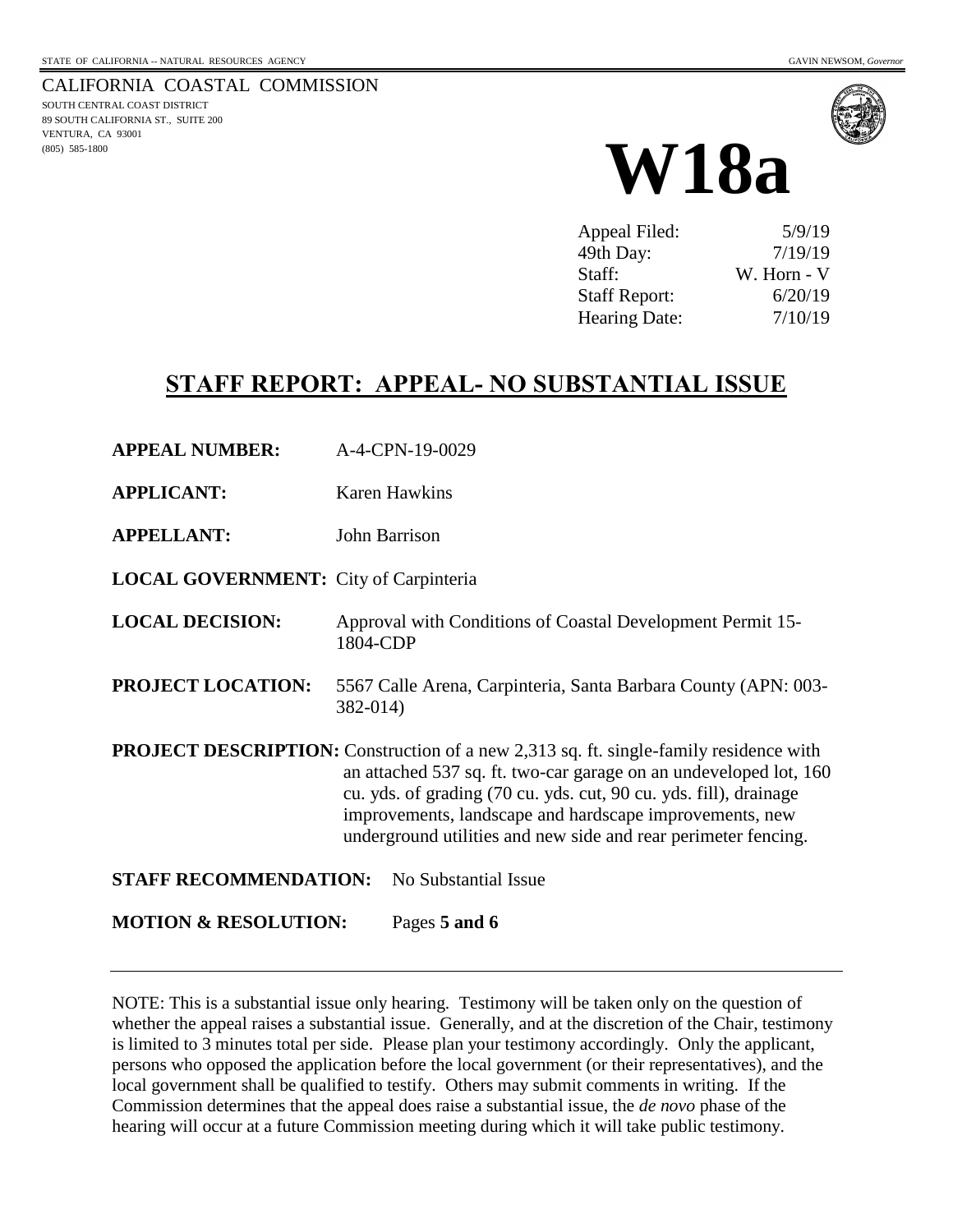CALIFORNIA COASTAL COMMISSION SOUTH CENTRAL COAST DISTRICT 89 SOUTH CALIFORNIA ST., SUITE 200 VENTURA, CA 93001 (805) 585-1800





| Appeal Filed:        | 5/9/19      |
|----------------------|-------------|
| 49th Day:            | 7/19/19     |
| Staff:               | W. Horn - V |
| <b>Staff Report:</b> | 6/20/19     |
| <b>Hearing Date:</b> | 7/10/19     |

# **STAFF REPORT: APPEAL- NO SUBSTANTIAL ISSUE**

- **APPEAL NUMBER:** A-4-CPN-19-0029
- **APPLICANT:** Karen Hawkins
- **APPELLANT:** John Barrison
- **LOCAL GOVERNMENT:** City of Carpinteria
- **LOCAL DECISION:** Approval with Conditions of Coastal Development Permit 15- 1804-CDP
- **PROJECT LOCATION:** 5567 Calle Arena, Carpinteria, Santa Barbara County (APN: 003- 382-014)

**PROJECT DESCRIPTION:** Construction of a new 2,313 sq. ft. single-family residence with an attached 537 sq. ft. two-car garage on an undeveloped lot, 160 cu. yds. of grading (70 cu. yds. cut, 90 cu. yds. fill), drainage improvements, landscape and hardscape improvements, new underground utilities and new side and rear perimeter fencing.

**STAFF RECOMMENDATION:** No Substantial Issue

**MOTION & RESOLUTION:** Pages **5 and 6** 

NOTE: This is a substantial issue only hearing. Testimony will be taken only on the question of whether the appeal raises a substantial issue. Generally, and at the discretion of the Chair, testimony is limited to 3 minutes total per side. Please plan your testimony accordingly. Only the applicant, persons who opposed the application before the local government (or their representatives), and the local government shall be qualified to testify. Others may submit comments in writing. If the Commission determines that the appeal does raise a substantial issue, the *de novo* phase of the hearing will occur at a future Commission meeting during which it will take public testimony.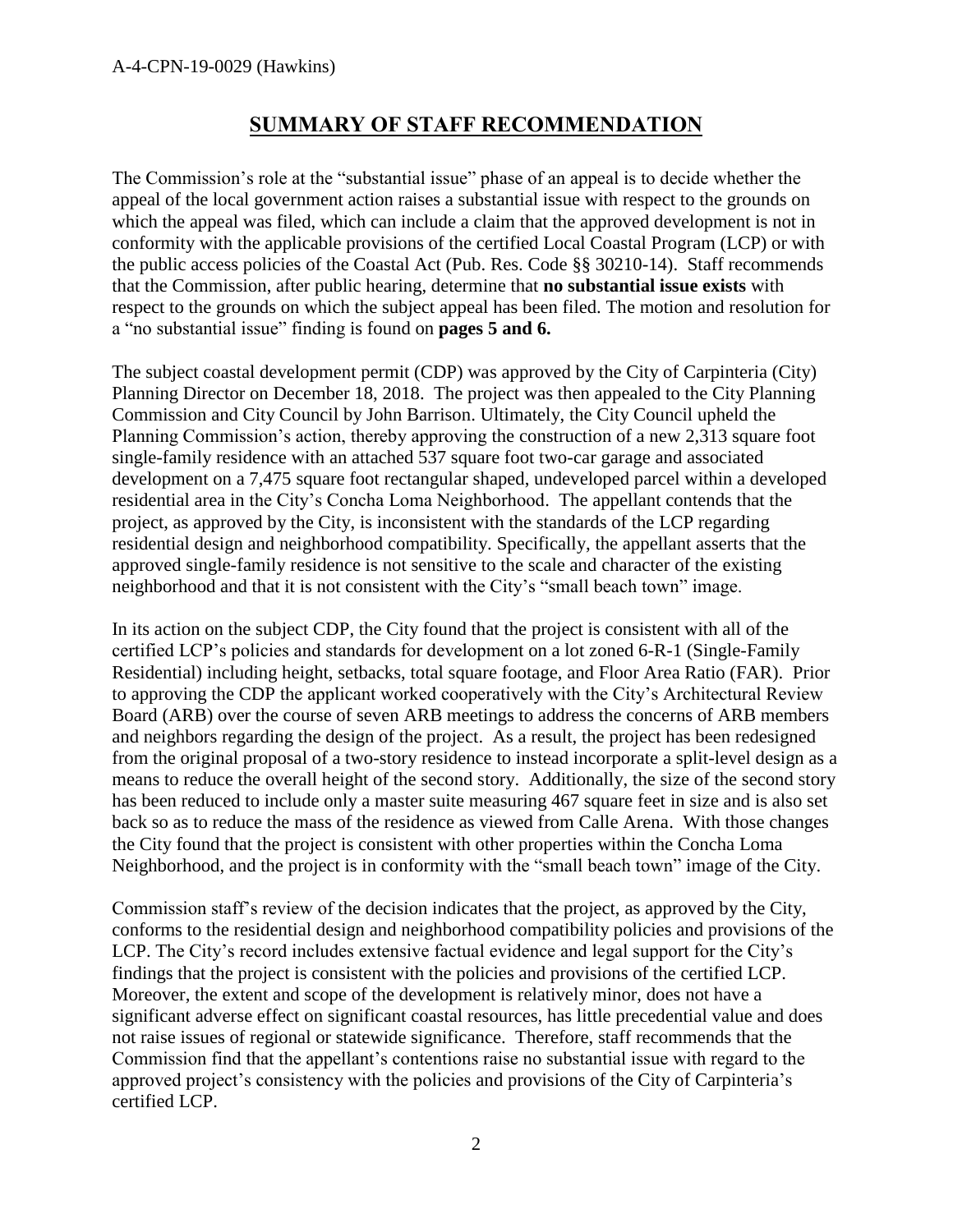## **SUMMARY OF STAFF RECOMMENDATION**

The Commission's role at the "substantial issue" phase of an appeal is to decide whether the appeal of the local government action raises a substantial issue with respect to the grounds on which the appeal was filed, which can include a claim that the approved development is not in conformity with the applicable provisions of the certified Local Coastal Program (LCP) or with the public access policies of the Coastal Act (Pub. Res. Code §§ 30210-14). Staff recommends that the Commission, after public hearing, determine that **no substantial issue exists** with respect to the grounds on which the subject appeal has been filed. The motion and resolution for a "no substantial issue" finding is found on **pages 5 and 6.** 

The subject coastal development permit (CDP) was approved by the City of Carpinteria (City) Planning Director on December 18, 2018. The project was then appealed to the City Planning Commission and City Council by John Barrison. Ultimately, the City Council upheld the Planning Commission's action, thereby approving the construction of a new 2,313 square foot single-family residence with an attached 537 square foot two-car garage and associated development on a 7,475 square foot rectangular shaped, undeveloped parcel within a developed residential area in the City's Concha Loma Neighborhood. The appellant contends that the project, as approved by the City, is inconsistent with the standards of the LCP regarding residential design and neighborhood compatibility. Specifically, the appellant asserts that the approved single-family residence is not sensitive to the scale and character of the existing neighborhood and that it is not consistent with the City's "small beach town" image.

In its action on the subject CDP, the City found that the project is consistent with all of the certified LCP's policies and standards for development on a lot zoned 6-R-1 (Single-Family Residential) including height, setbacks, total square footage, and Floor Area Ratio (FAR). Prior to approving the CDP the applicant worked cooperatively with the City's Architectural Review Board (ARB) over the course of seven ARB meetings to address the concerns of ARB members and neighbors regarding the design of the project. As a result, the project has been redesigned from the original proposal of a two-story residence to instead incorporate a split-level design as a means to reduce the overall height of the second story. Additionally, the size of the second story has been reduced to include only a master suite measuring 467 square feet in size and is also set back so as to reduce the mass of the residence as viewed from Calle Arena. With those changes the City found that the project is consistent with other properties within the Concha Loma Neighborhood, and the project is in conformity with the "small beach town" image of the City.

Commission staff's review of the decision indicates that the project, as approved by the City, conforms to the residential design and neighborhood compatibility policies and provisions of the LCP. The City's record includes extensive factual evidence and legal support for the City's findings that the project is consistent with the policies and provisions of the certified LCP. Moreover, the extent and scope of the development is relatively minor, does not have a significant adverse effect on significant coastal resources, has little precedential value and does not raise issues of regional or statewide significance. Therefore, staff recommends that the Commission find that the appellant's contentions raise no substantial issue with regard to the approved project's consistency with the policies and provisions of the City of Carpinteria's certified LCP.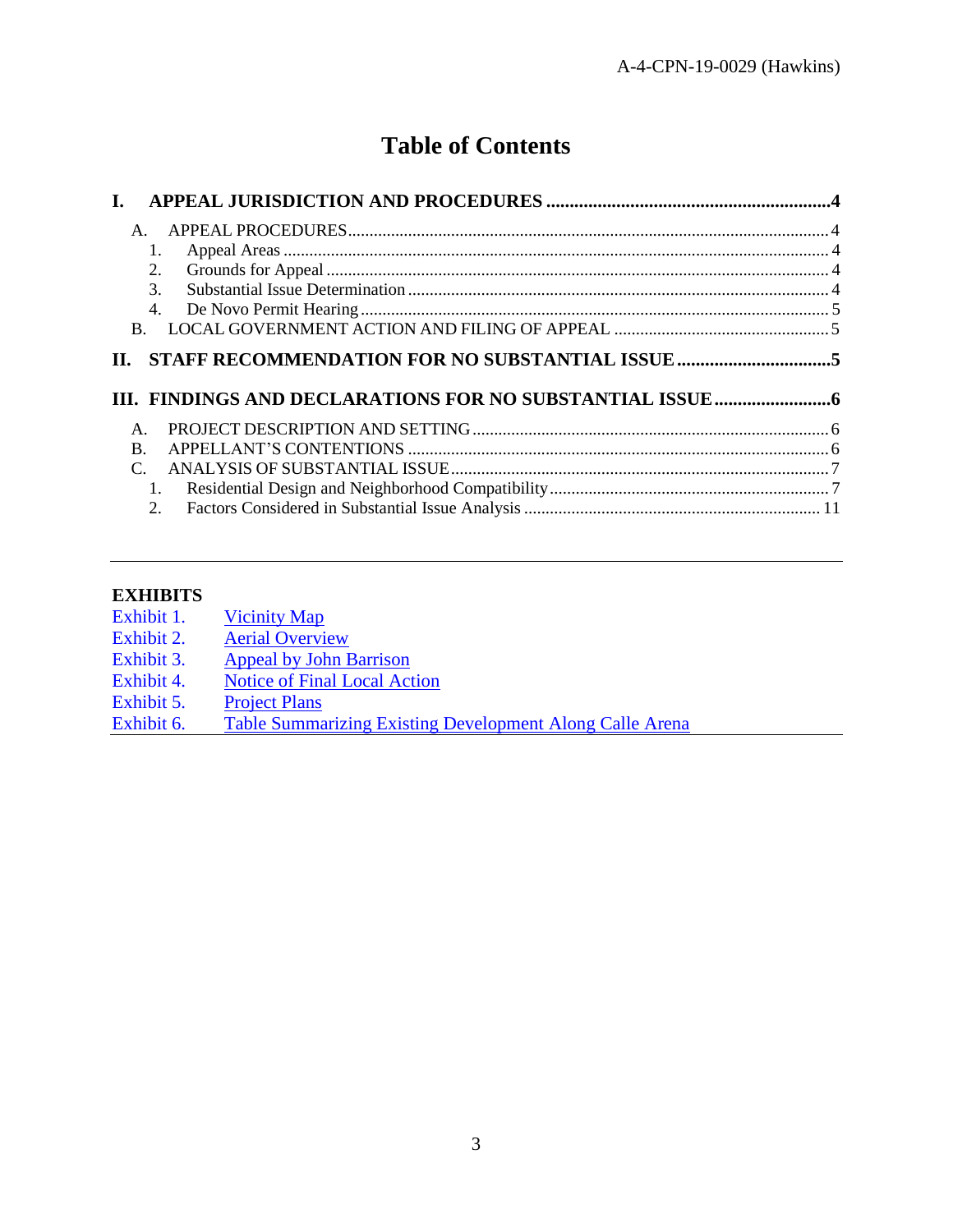# **Table of Contents**

| L.               |  |
|------------------|--|
| $\mathsf{A}$ .   |  |
| 1.               |  |
| 2.               |  |
| $\mathcal{F}$    |  |
| 4.               |  |
| $\mathbf{B}$     |  |
|                  |  |
| П.               |  |
|                  |  |
| $\mathsf{A}$ .   |  |
| B.               |  |
|                  |  |
| 1.               |  |
| $\overline{2}$ . |  |

#### **EXHIBITS**

| Exhibit 1. | <b>Vicinity Map</b> |
|------------|---------------------|
|            |                     |

- Exhibit 2. [Aerial Overview](https://documents.coastal.ca.gov/reports/2019/7/W18a/W18a-7-2019-exhibits.pdf)
- Exhibit 3. [Appeal by John Barrison](https://documents.coastal.ca.gov/reports/2019/7/W18a/W18a-7-2019-exhibits.pdf)
- Exhibit 4. [Notice of Final Local Action](https://documents.coastal.ca.gov/reports/2019/7/W18a/W18a-7-2019-exhibits.pdf)
- Exhibit 5. [Project Plans](https://documents.coastal.ca.gov/reports/2019/7/W18a/W18a-7-2019-exhibits.pdf)
- Exhibit 6. [Table Summarizing Existing Development Along Calle Arena](https://documents.coastal.ca.gov/reports/2019/7/W18a/W18a-7-2019-exhibits.pdf)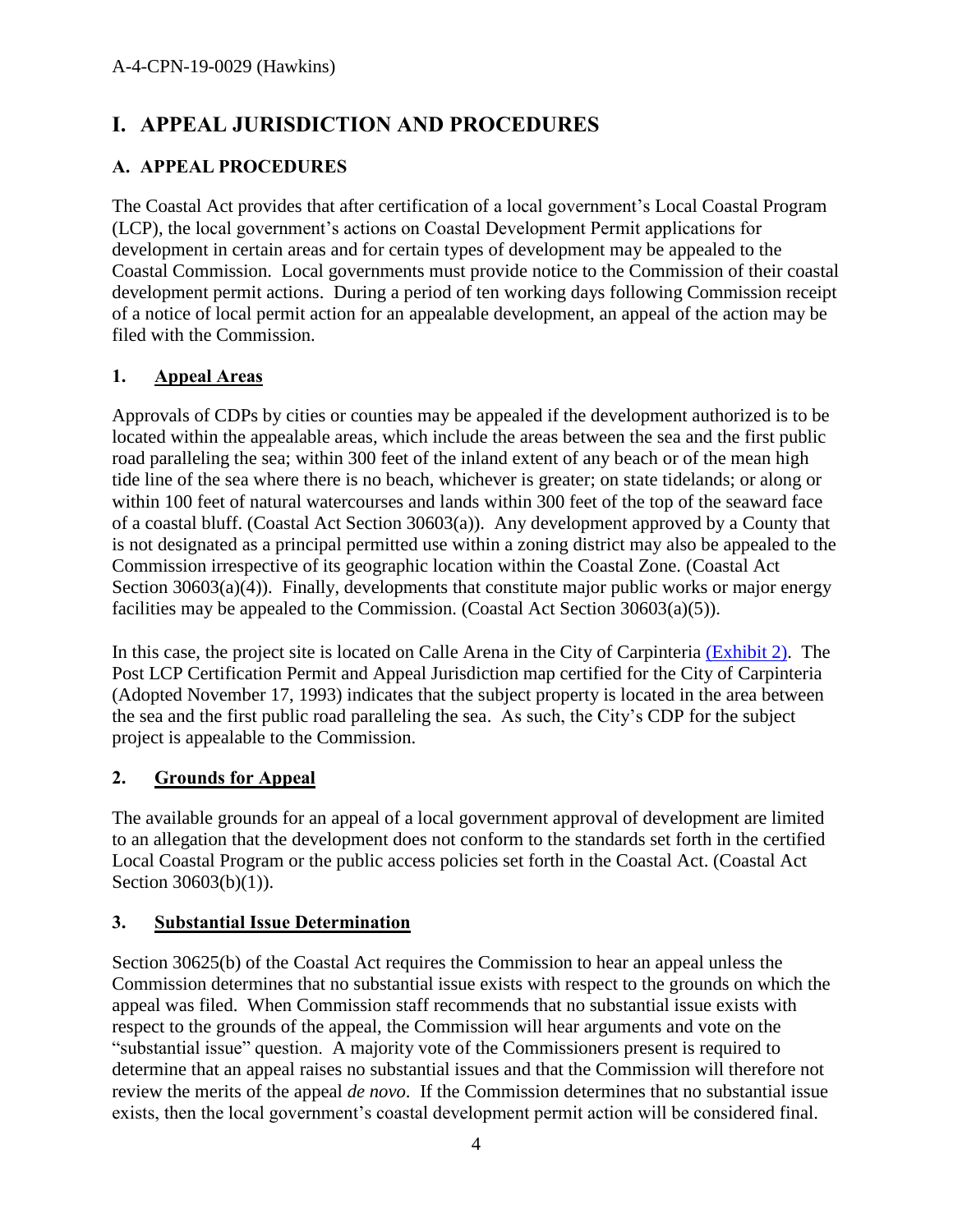# <span id="page-3-0"></span>**I. APPEAL JURISDICTION AND PROCEDURES**

## <span id="page-3-1"></span>**A. APPEAL PROCEDURES**

The Coastal Act provides that after certification of a local government's Local Coastal Program (LCP), the local government's actions on Coastal Development Permit applications for development in certain areas and for certain types of development may be appealed to the Coastal Commission. Local governments must provide notice to the Commission of their coastal development permit actions. During a period of ten working days following Commission receipt of a notice of local permit action for an appealable development, an appeal of the action may be filed with the Commission.

## <span id="page-3-2"></span>**1. Appeal Areas**

Approvals of CDPs by cities or counties may be appealed if the development authorized is to be located within the appealable areas, which include the areas between the sea and the first public road paralleling the sea; within 300 feet of the inland extent of any beach or of the mean high tide line of the sea where there is no beach, whichever is greater; on state tidelands; or along or within 100 feet of natural watercourses and lands within 300 feet of the top of the seaward face of a coastal bluff. (Coastal Act Section 30603(a)). Any development approved by a County that is not designated as a principal permitted use within a zoning district may also be appealed to the Commission irrespective of its geographic location within the Coastal Zone. (Coastal Act Section  $30603(a)(4)$ ). Finally, developments that constitute major public works or major energy facilities may be appealed to the Commission. (Coastal Act Section 30603(a)(5)).

In this case, the project site is located on Calle Arena in the City of Carpinteria [\(Exhibit 2\).](https://documents.coastal.ca.gov/reports/2019/7/W18a/W18a-7-2019-exhibits.pdf) The Post LCP Certification Permit and Appeal Jurisdiction map certified for the City of Carpinteria (Adopted November 17, 1993) indicates that the subject property is located in the area between the sea and the first public road paralleling the sea. As such, the City's CDP for the subject project is appealable to the Commission.

## <span id="page-3-3"></span>**2. Grounds for Appeal**

The available grounds for an appeal of a local government approval of development are limited to an allegation that the development does not conform to the standards set forth in the certified Local Coastal Program or the public access policies set forth in the Coastal Act. (Coastal Act Section 30603(b)(1)).

### <span id="page-3-4"></span>**3. Substantial Issue Determination**

Section 30625(b) of the Coastal Act requires the Commission to hear an appeal unless the Commission determines that no substantial issue exists with respect to the grounds on which the appeal was filed. When Commission staff recommends that no substantial issue exists with respect to the grounds of the appeal, the Commission will hear arguments and vote on the "substantial issue" question. A majority vote of the Commissioners present is required to determine that an appeal raises no substantial issues and that the Commission will therefore not review the merits of the appeal *de novo*. If the Commission determines that no substantial issue exists, then the local government's coastal development permit action will be considered final.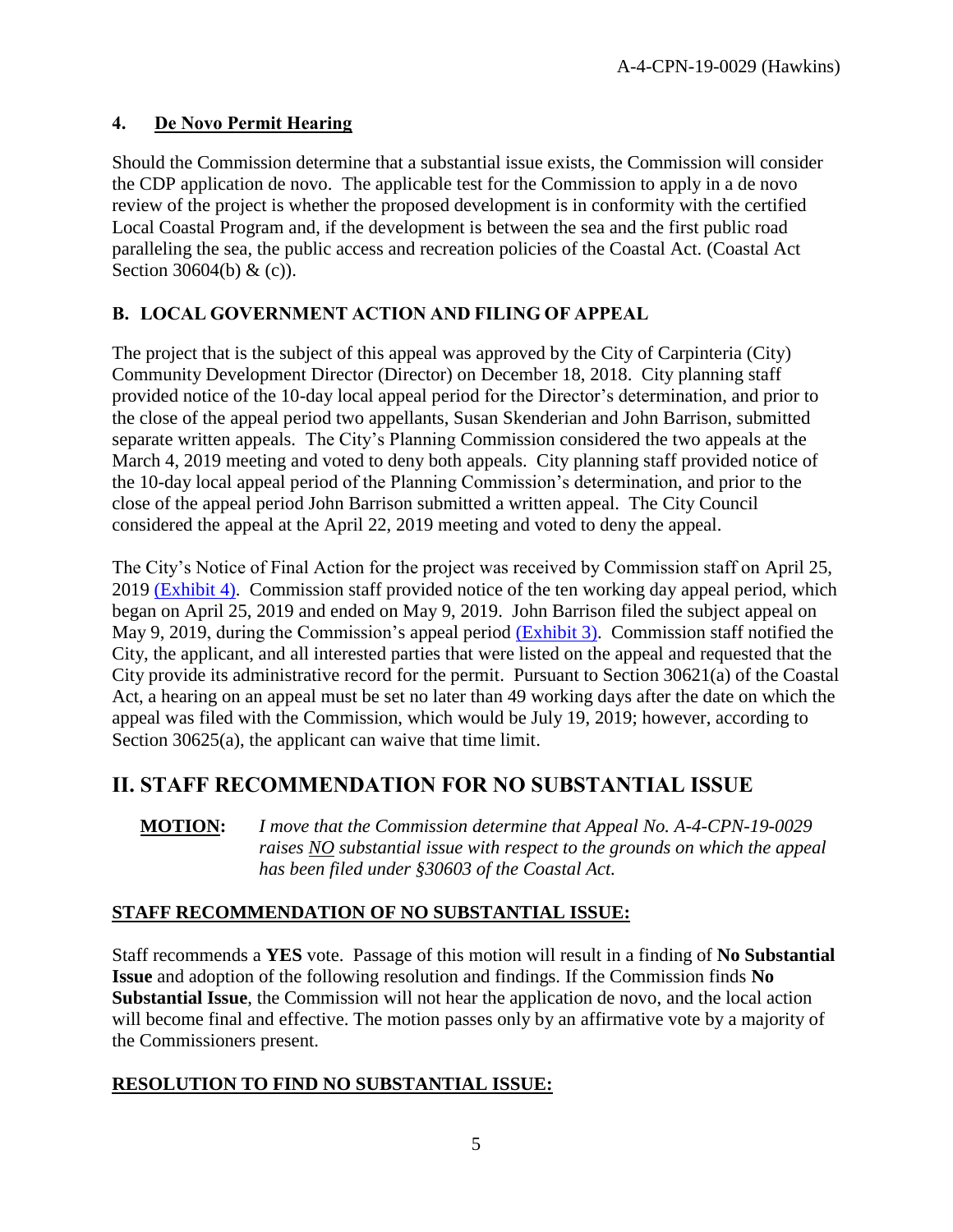### <span id="page-4-0"></span>**4. De Novo Permit Hearing**

Should the Commission determine that a substantial issue exists, the Commission will consider the CDP application de novo. The applicable test for the Commission to apply in a de novo review of the project is whether the proposed development is in conformity with the certified Local Coastal Program and, if the development is between the sea and the first public road paralleling the sea, the public access and recreation policies of the Coastal Act. (Coastal Act Section 30604(b) & (c)).

## <span id="page-4-1"></span>**B. LOCAL GOVERNMENT ACTION AND FILING OF APPEAL**

The project that is the subject of this appeal was approved by the City of Carpinteria (City) Community Development Director (Director) on December 18, 2018. City planning staff provided notice of the 10-day local appeal period for the Director's determination, and prior to the close of the appeal period two appellants, Susan Skenderian and John Barrison, submitted separate written appeals. The City's Planning Commission considered the two appeals at the March 4, 2019 meeting and voted to deny both appeals. City planning staff provided notice of the 10-day local appeal period of the Planning Commission's determination, and prior to the close of the appeal period John Barrison submitted a written appeal. The City Council considered the appeal at the April 22, 2019 meeting and voted to deny the appeal.

The City's Notice of Final Action for the project was received by Commission staff on April 25, 2019 [\(Exhibit 4\).](https://documents.coastal.ca.gov/reports/2019/7/W18a/W18a-7-2019-exhibits.pdf) Commission staff provided notice of the ten working day appeal period, which began on April 25, 2019 and ended on May 9, 2019. John Barrison filed the subject appeal on May 9, 2019, during the Commission's appeal period [\(Exhibit 3\).](https://documents.coastal.ca.gov/reports/2019/7/W18a/W18a-7-2019-exhibits.pdf) Commission staff notified the City, the applicant, and all interested parties that were listed on the appeal and requested that the City provide its administrative record for the permit. Pursuant to Section 30621(a) of the Coastal Act, a hearing on an appeal must be set no later than 49 working days after the date on which the appeal was filed with the Commission, which would be July 19, 2019; however, according to Section 30625(a), the applicant can waive that time limit.

## <span id="page-4-2"></span>**II. STAFF RECOMMENDATION FOR NO SUBSTANTIAL ISSUE**

**MOTION:** *I move that the Commission determine that Appeal No. A-4-CPN-19-0029 raises NO substantial issue with respect to the grounds on which the appeal has been filed under §30603 of the Coastal Act.* 

## **STAFF RECOMMENDATION OF NO SUBSTANTIAL ISSUE:**

Staff recommends a **YES** vote. Passage of this motion will result in a finding of **No Substantial Issue** and adoption of the following resolution and findings. If the Commission finds **No Substantial Issue**, the Commission will not hear the application de novo, and the local action will become final and effective. The motion passes only by an affirmative vote by a majority of the Commissioners present.

### **RESOLUTION TO FIND NO SUBSTANTIAL ISSUE:**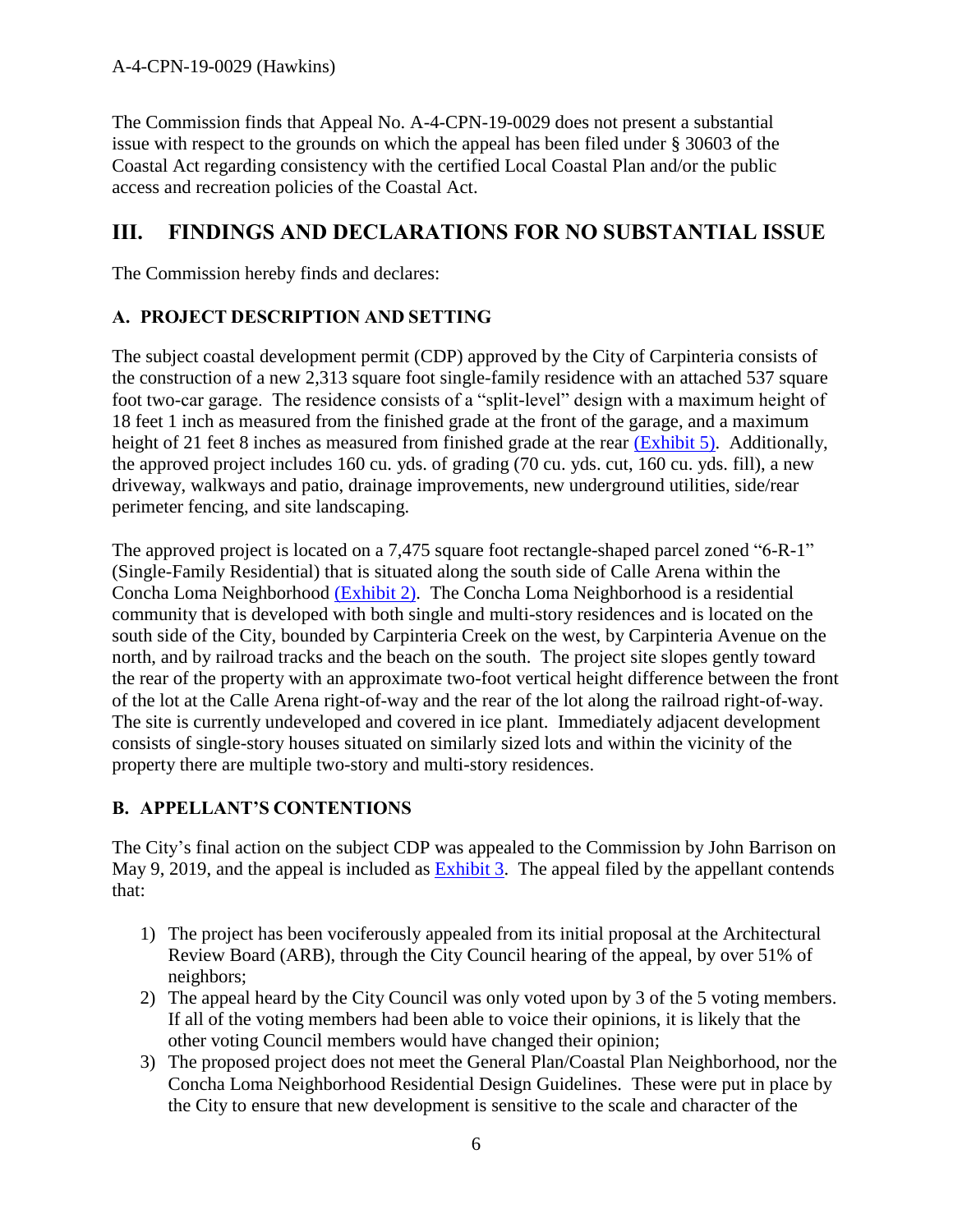The Commission finds that Appeal No. A-4-CPN-19-0029 does not present a substantial issue with respect to the grounds on which the appeal has been filed under § 30603 of the Coastal Act regarding consistency with the certified Local Coastal Plan and/or the public access and recreation policies of the Coastal Act.

## <span id="page-5-0"></span>**III. FINDINGS AND DECLARATIONS FOR NO SUBSTANTIAL ISSUE**

The Commission hereby finds and declares:

## <span id="page-5-1"></span>**A. PROJECT DESCRIPTION AND SETTING**

The subject coastal development permit (CDP) approved by the City of Carpinteria consists of the construction of a new 2,313 square foot single-family residence with an attached 537 square foot two-car garage. The residence consists of a "split-level" design with a maximum height of 18 feet 1 inch as measured from the finished grade at the front of the garage, and a maximum height of 21 feet 8 inches as measured from finished grade at the rear [\(Exhibit 5\).](https://documents.coastal.ca.gov/reports/2019/7/W18a/W18a-7-2019-exhibits.pdf) Additionally, the approved project includes 160 cu. yds. of grading (70 cu. yds. cut, 160 cu. yds. fill), a new driveway, walkways and patio, drainage improvements, new underground utilities, side/rear perimeter fencing, and site landscaping.

The approved project is located on a 7,475 square foot rectangle-shaped parcel zoned "6-R-1" (Single-Family Residential) that is situated along the south side of Calle Arena within the Concha Loma Neighborhood [\(Exhibit 2\).](https://documents.coastal.ca.gov/reports/2019/7/W18a/W18a-7-2019-exhibits.pdf) The Concha Loma Neighborhood is a residential community that is developed with both single and multi-story residences and is located on the south side of the City, bounded by Carpinteria Creek on the west, by Carpinteria Avenue on the north, and by railroad tracks and the beach on the south. The project site slopes gently toward the rear of the property with an approximate two-foot vertical height difference between the front of the lot at the Calle Arena right-of-way and the rear of the lot along the railroad right-of-way. The site is currently undeveloped and covered in ice plant. Immediately adjacent development consists of single-story houses situated on similarly sized lots and within the vicinity of the property there are multiple two-story and multi-story residences.

### <span id="page-5-2"></span>**B. APPELLANT'S CONTENTIONS**

The City's final action on the subject CDP was appealed to the Commission by John Barrison on May 9, 2019, and the appeal is included as [Exhibit 3.](https://documents.coastal.ca.gov/reports/2019/7/W18a/W18a-7-2019-exhibits.pdf) The appeal filed by the appellant contends that:

- 1) The project has been vociferously appealed from its initial proposal at the Architectural Review Board (ARB), through the City Council hearing of the appeal, by over 51% of neighbors;
- 2) The appeal heard by the City Council was only voted upon by 3 of the 5 voting members. If all of the voting members had been able to voice their opinions, it is likely that the other voting Council members would have changed their opinion;
- 3) The proposed project does not meet the General Plan/Coastal Plan Neighborhood, nor the Concha Loma Neighborhood Residential Design Guidelines. These were put in place by the City to ensure that new development is sensitive to the scale and character of the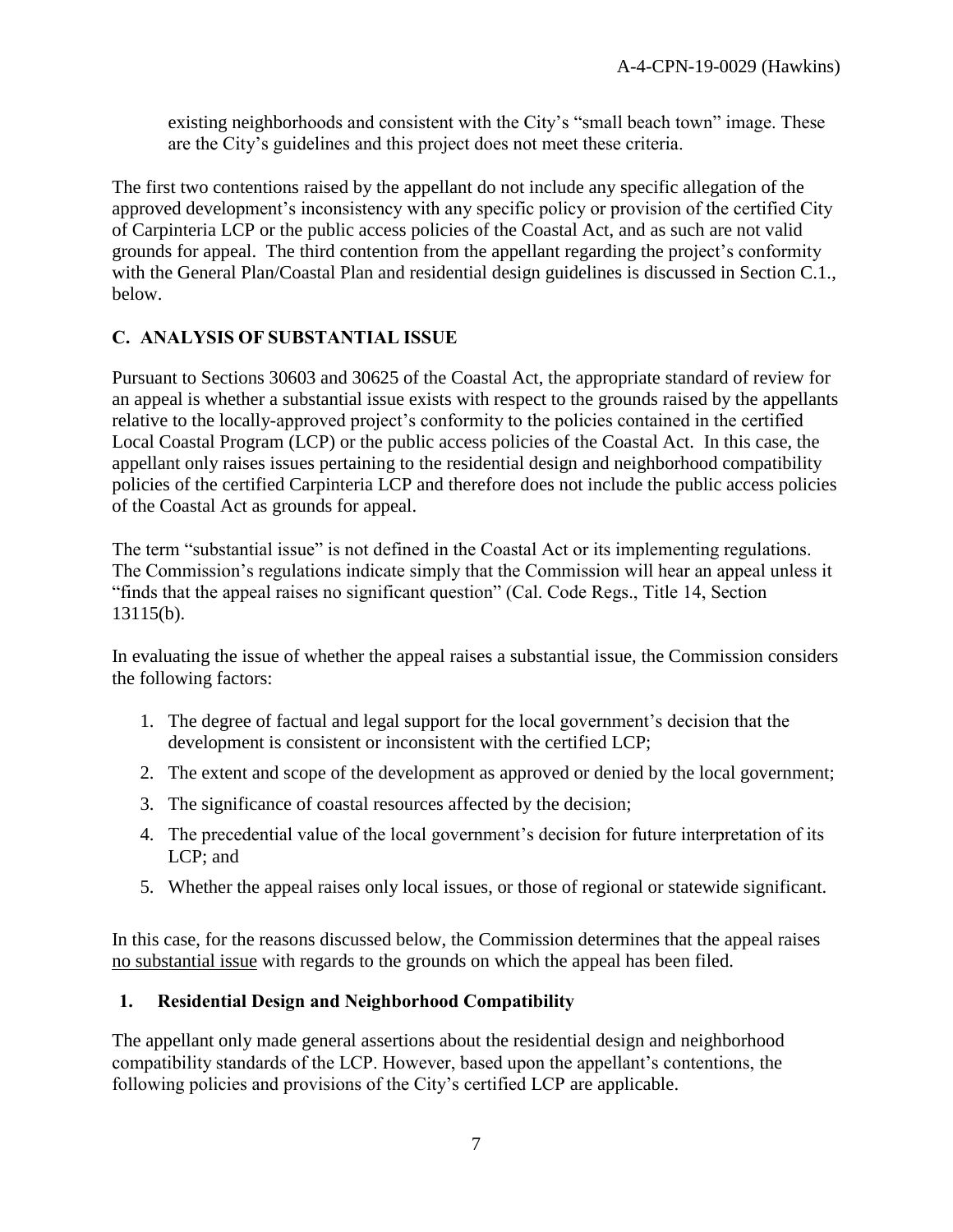existing neighborhoods and consistent with the City's "small beach town" image. These are the City's guidelines and this project does not meet these criteria.

The first two contentions raised by the appellant do not include any specific allegation of the approved development's inconsistency with any specific policy or provision of the certified City of Carpinteria LCP or the public access policies of the Coastal Act, and as such are not valid grounds for appeal. The third contention from the appellant regarding the project's conformity with the General Plan/Coastal Plan and residential design guidelines is discussed in Section C.1., below.

### <span id="page-6-0"></span>**C. ANALYSIS OF SUBSTANTIAL ISSUE**

Pursuant to Sections 30603 and 30625 of the Coastal Act, the appropriate standard of review for an appeal is whether a substantial issue exists with respect to the grounds raised by the appellants relative to the locally-approved project's conformity to the policies contained in the certified Local Coastal Program (LCP) or the public access policies of the Coastal Act. In this case, the appellant only raises issues pertaining to the residential design and neighborhood compatibility policies of the certified Carpinteria LCP and therefore does not include the public access policies of the Coastal Act as grounds for appeal.

The term "substantial issue" is not defined in the Coastal Act or its implementing regulations. The Commission's regulations indicate simply that the Commission will hear an appeal unless it "finds that the appeal raises no significant question" (Cal. Code Regs., Title 14, Section 13115(b).

In evaluating the issue of whether the appeal raises a substantial issue, the Commission considers the following factors:

- 1. The degree of factual and legal support for the local government's decision that the development is consistent or inconsistent with the certified LCP;
- 2. The extent and scope of the development as approved or denied by the local government;
- 3. The significance of coastal resources affected by the decision;
- 4. The precedential value of the local government's decision for future interpretation of its LCP; and
- 5. Whether the appeal raises only local issues, or those of regional or statewide significant.

In this case, for the reasons discussed below, the Commission determines that the appeal raises no substantial issue with regards to the grounds on which the appeal has been filed.

### <span id="page-6-1"></span>**1. Residential Design and Neighborhood Compatibility**

The appellant only made general assertions about the residential design and neighborhood compatibility standards of the LCP. However, based upon the appellant's contentions, the following policies and provisions of the City's certified LCP are applicable.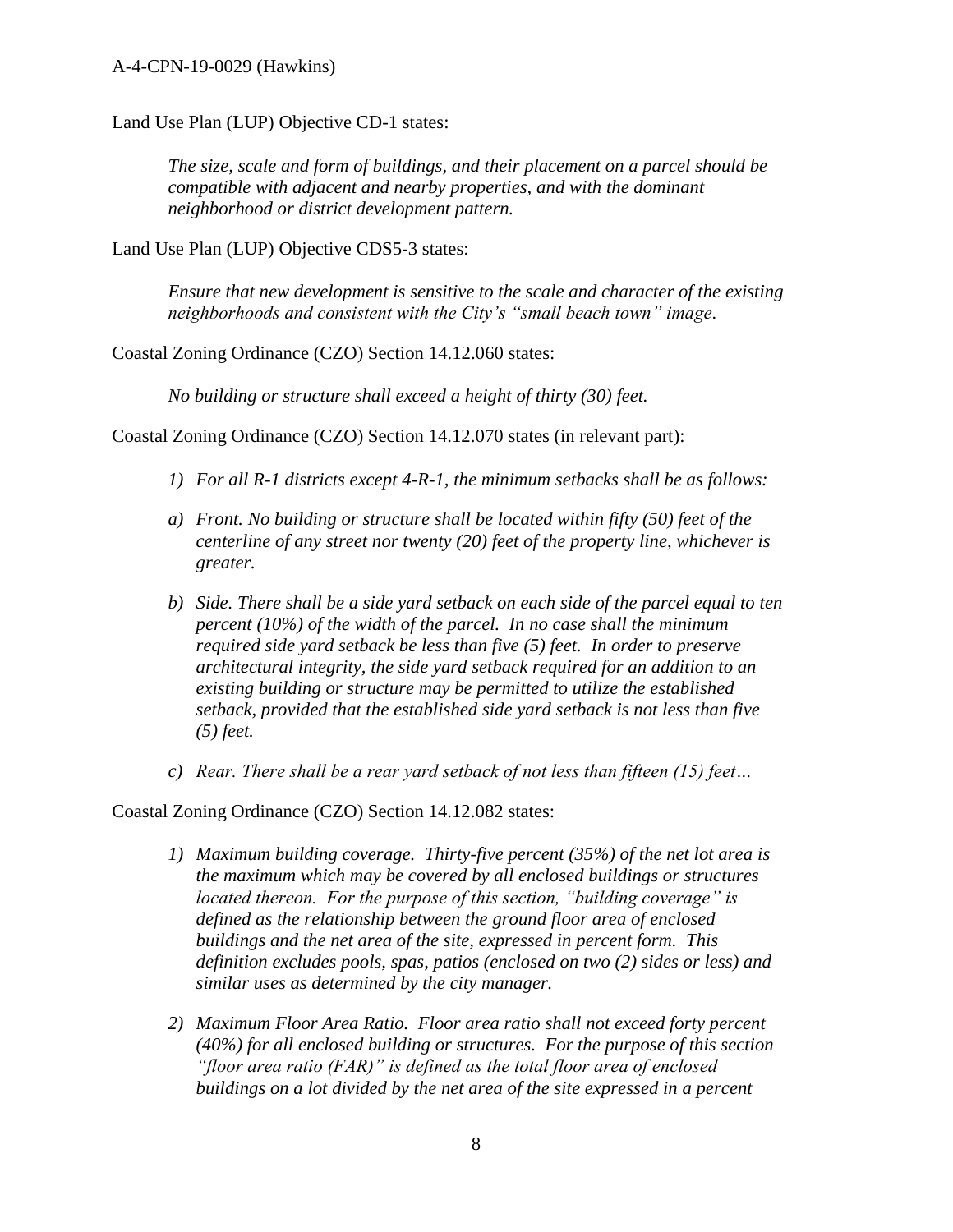Land Use Plan (LUP) Objective CD-1 states:

*The size, scale and form of buildings, and their placement on a parcel should be compatible with adjacent and nearby properties, and with the dominant neighborhood or district development pattern.* 

Land Use Plan (LUP) Objective CDS5-3 states:

*Ensure that new development is sensitive to the scale and character of the existing neighborhoods and consistent with the City's "small beach town" image.*

Coastal Zoning Ordinance (CZO) Section 14.12.060 states:

*No building or structure shall exceed a height of thirty (30) feet.* 

Coastal Zoning Ordinance (CZO) Section 14.12.070 states (in relevant part):

- *1) For all R-1 districts except 4-R-1, the minimum setbacks shall be as follows:*
- *a) Front. No building or structure shall be located within fifty (50) feet of the centerline of any street nor twenty (20) feet of the property line, whichever is greater.*
- *b) Side. There shall be a side yard setback on each side of the parcel equal to ten percent (10%) of the width of the parcel. In no case shall the minimum required side yard setback be less than five (5) feet. In order to preserve architectural integrity, the side yard setback required for an addition to an existing building or structure may be permitted to utilize the established setback, provided that the established side yard setback is not less than five (5) feet.*
- *c) Rear. There shall be a rear yard setback of not less than fifteen (15) feet…*

Coastal Zoning Ordinance (CZO) Section 14.12.082 states:

- *1) Maximum building coverage. Thirty-five percent (35%) of the net lot area is the maximum which may be covered by all enclosed buildings or structures located thereon. For the purpose of this section, "building coverage" is defined as the relationship between the ground floor area of enclosed buildings and the net area of the site, expressed in percent form. This definition excludes pools, spas, patios (enclosed on two (2) sides or less) and similar uses as determined by the city manager.*
- *2) Maximum Floor Area Ratio. Floor area ratio shall not exceed forty percent (40%) for all enclosed building or structures. For the purpose of this section "floor area ratio (FAR)" is defined as the total floor area of enclosed buildings on a lot divided by the net area of the site expressed in a percent*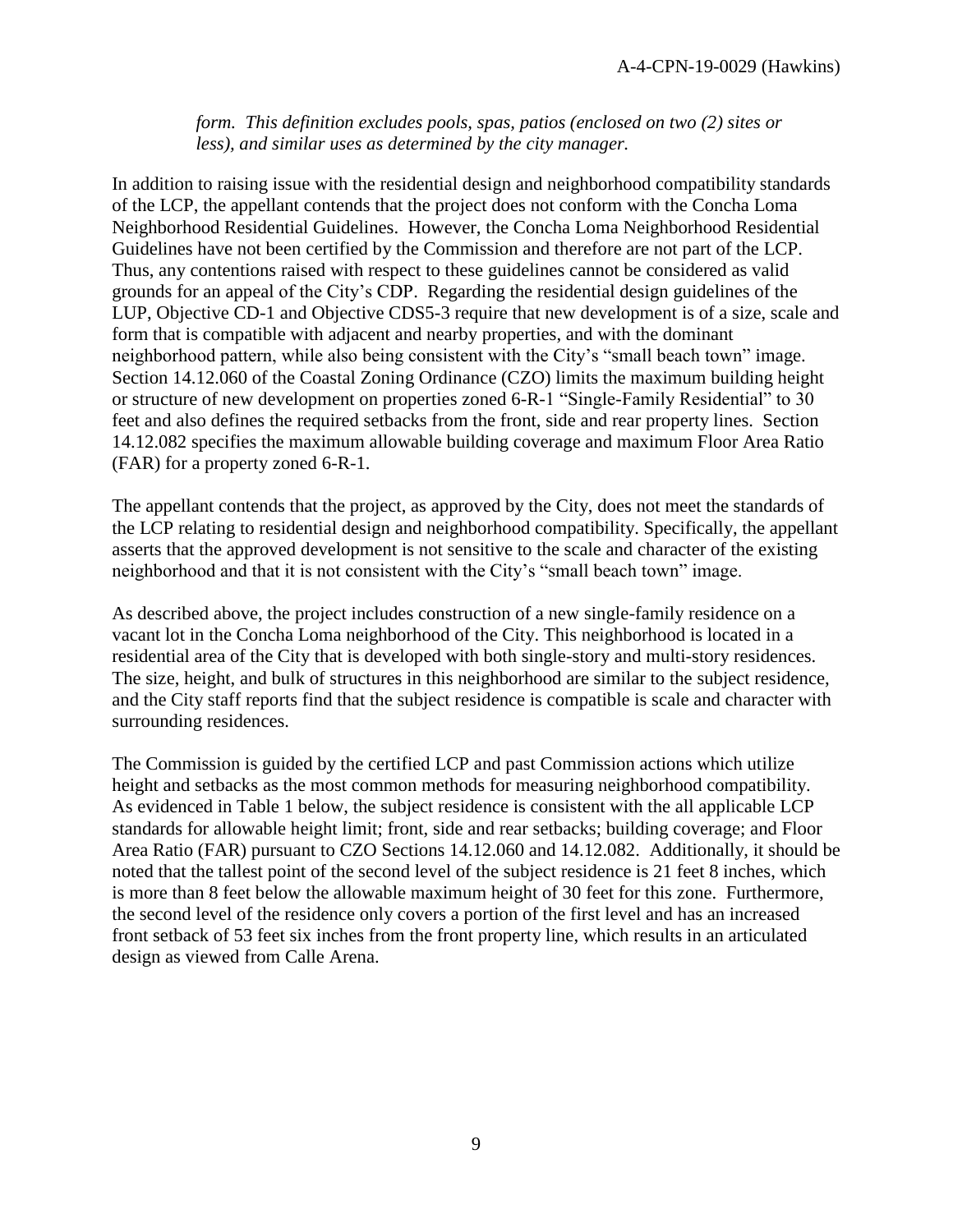*form. This definition excludes pools, spas, patios (enclosed on two (2) sites or less), and similar uses as determined by the city manager.* 

In addition to raising issue with the residential design and neighborhood compatibility standards of the LCP, the appellant contends that the project does not conform with the Concha Loma Neighborhood Residential Guidelines. However, the Concha Loma Neighborhood Residential Guidelines have not been certified by the Commission and therefore are not part of the LCP. Thus, any contentions raised with respect to these guidelines cannot be considered as valid grounds for an appeal of the City's CDP. Regarding the residential design guidelines of the LUP, Objective CD-1 and Objective CDS5-3 require that new development is of a size, scale and form that is compatible with adjacent and nearby properties, and with the dominant neighborhood pattern, while also being consistent with the City's "small beach town" image. Section 14.12.060 of the Coastal Zoning Ordinance (CZO) limits the maximum building height or structure of new development on properties zoned 6-R-1 "Single-Family Residential" to 30 feet and also defines the required setbacks from the front, side and rear property lines. Section 14.12.082 specifies the maximum allowable building coverage and maximum Floor Area Ratio (FAR) for a property zoned 6-R-1.

The appellant contends that the project, as approved by the City, does not meet the standards of the LCP relating to residential design and neighborhood compatibility. Specifically, the appellant asserts that the approved development is not sensitive to the scale and character of the existing neighborhood and that it is not consistent with the City's "small beach town" image.

As described above, the project includes construction of a new single-family residence on a vacant lot in the Concha Loma neighborhood of the City. This neighborhood is located in a residential area of the City that is developed with both single-story and multi-story residences. The size, height, and bulk of structures in this neighborhood are similar to the subject residence, and the City staff reports find that the subject residence is compatible is scale and character with surrounding residences.

The Commission is guided by the certified LCP and past Commission actions which utilize height and setbacks as the most common methods for measuring neighborhood compatibility. As evidenced in Table 1 below, the subject residence is consistent with the all applicable LCP standards for allowable height limit; front, side and rear setbacks; building coverage; and Floor Area Ratio (FAR) pursuant to CZO Sections 14.12.060 and 14.12.082. Additionally, it should be noted that the tallest point of the second level of the subject residence is 21 feet 8 inches, which is more than 8 feet below the allowable maximum height of 30 feet for this zone. Furthermore, the second level of the residence only covers a portion of the first level and has an increased front setback of 53 feet six inches from the front property line, which results in an articulated design as viewed from Calle Arena.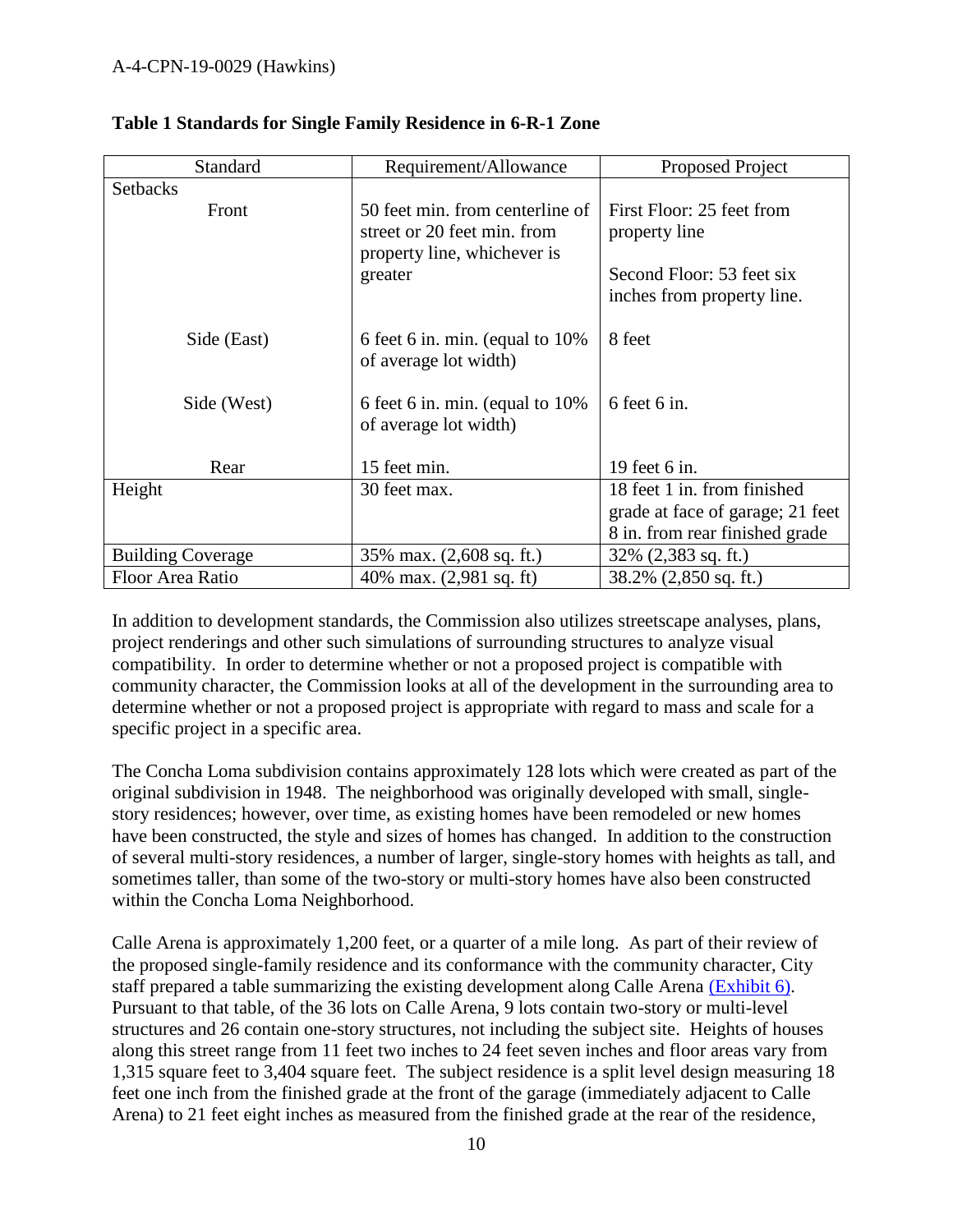| Standard                 | Requirement/Allowance                                       | Proposed Project                   |
|--------------------------|-------------------------------------------------------------|------------------------------------|
| <b>Setbacks</b>          |                                                             |                                    |
| Front                    | 50 feet min. from centerline of                             | First Floor: 25 feet from          |
|                          | street or 20 feet min. from                                 | property line                      |
|                          | property line, whichever is                                 |                                    |
|                          | greater                                                     | Second Floor: 53 feet six          |
|                          |                                                             | inches from property line.         |
|                          |                                                             | 8 feet                             |
| Side (East)              | 6 feet 6 in. min. (equal to $10\%$<br>of average lot width) |                                    |
|                          |                                                             |                                    |
| Side (West)              | 6 feet 6 in. min. (equal to $10\%$                          | 6 feet 6 in.                       |
|                          | of average lot width)                                       |                                    |
|                          |                                                             |                                    |
| Rear                     | 15 feet min.                                                | 19 feet 6 in.                      |
| Height                   | 30 feet max.                                                | 18 feet 1 in. from finished        |
|                          |                                                             | grade at face of garage; 21 feet   |
|                          |                                                             | 8 in. from rear finished grade     |
| <b>Building Coverage</b> | 35% max. (2,608 sq. ft.)                                    | $32\%$ (2,383 sq. ft.)             |
| Floor Area Ratio         | 40% max. $(2,981 \text{ sq. ft})$                           | $38.2\%$ $(2,850 \text{ sq. ft.})$ |

#### **Table 1 Standards for Single Family Residence in 6-R-1 Zone**

In addition to development standards, the Commission also utilizes streetscape analyses, plans, project renderings and other such simulations of surrounding structures to analyze visual compatibility. In order to determine whether or not a proposed project is compatible with community character, the Commission looks at all of the development in the surrounding area to determine whether or not a proposed project is appropriate with regard to mass and scale for a specific project in a specific area.

The Concha Loma subdivision contains approximately 128 lots which were created as part of the original subdivision in 1948. The neighborhood was originally developed with small, singlestory residences; however, over time, as existing homes have been remodeled or new homes have been constructed, the style and sizes of homes has changed. In addition to the construction of several multi-story residences, a number of larger, single-story homes with heights as tall, and sometimes taller, than some of the two-story or multi-story homes have also been constructed within the Concha Loma Neighborhood.

Calle Arena is approximately 1,200 feet, or a quarter of a mile long. As part of their review of the proposed single-family residence and its conformance with the community character, City staff prepared a table summarizing the existing development along Calle Arena [\(Exhibit 6\).](https://documents.coastal.ca.gov/reports/2019/7/W18a/W18a-7-2019-exhibits.pdf) Pursuant to that table, of the 36 lots on Calle Arena, 9 lots contain two-story or multi-level structures and 26 contain one-story structures, not including the subject site. Heights of houses along this street range from 11 feet two inches to 24 feet seven inches and floor areas vary from 1,315 square feet to 3,404 square feet. The subject residence is a split level design measuring 18 feet one inch from the finished grade at the front of the garage (immediately adjacent to Calle Arena) to 21 feet eight inches as measured from the finished grade at the rear of the residence,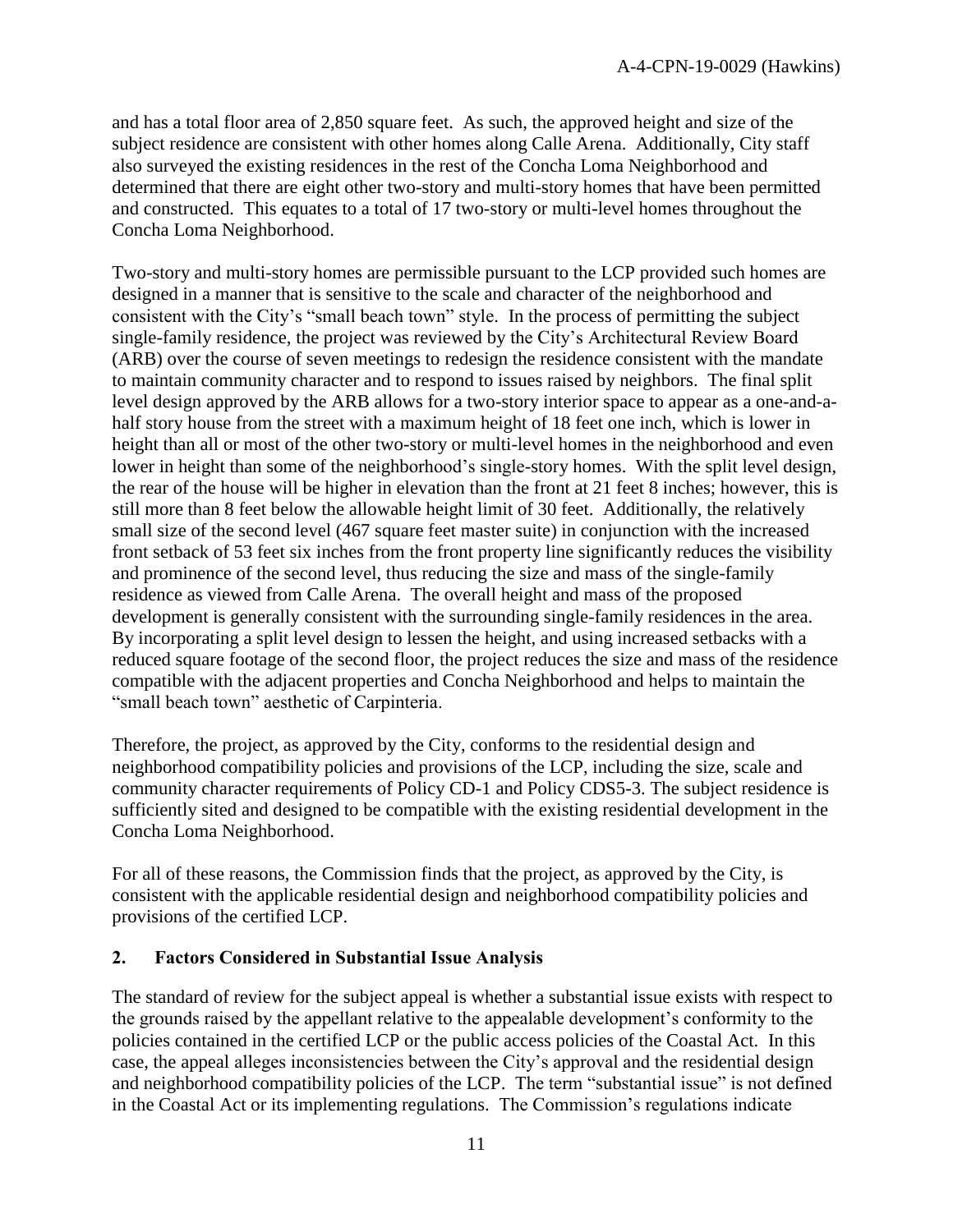and has a total floor area of 2,850 square feet. As such, the approved height and size of the subject residence are consistent with other homes along Calle Arena. Additionally, City staff also surveyed the existing residences in the rest of the Concha Loma Neighborhood and determined that there are eight other two-story and multi-story homes that have been permitted and constructed. This equates to a total of 17 two-story or multi-level homes throughout the Concha Loma Neighborhood.

Two-story and multi-story homes are permissible pursuant to the LCP provided such homes are designed in a manner that is sensitive to the scale and character of the neighborhood and consistent with the City's "small beach town" style. In the process of permitting the subject single-family residence, the project was reviewed by the City's Architectural Review Board (ARB) over the course of seven meetings to redesign the residence consistent with the mandate to maintain community character and to respond to issues raised by neighbors. The final split level design approved by the ARB allows for a two-story interior space to appear as a one-and-ahalf story house from the street with a maximum height of 18 feet one inch, which is lower in height than all or most of the other two-story or multi-level homes in the neighborhood and even lower in height than some of the neighborhood's single-story homes. With the split level design, the rear of the house will be higher in elevation than the front at 21 feet 8 inches; however, this is still more than 8 feet below the allowable height limit of 30 feet. Additionally, the relatively small size of the second level (467 square feet master suite) in conjunction with the increased front setback of 53 feet six inches from the front property line significantly reduces the visibility and prominence of the second level, thus reducing the size and mass of the single-family residence as viewed from Calle Arena. The overall height and mass of the proposed development is generally consistent with the surrounding single-family residences in the area. By incorporating a split level design to lessen the height, and using increased setbacks with a reduced square footage of the second floor, the project reduces the size and mass of the residence compatible with the adjacent properties and Concha Neighborhood and helps to maintain the "small beach town" aesthetic of Carpinteria.

Therefore, the project, as approved by the City, conforms to the residential design and neighborhood compatibility policies and provisions of the LCP, including the size, scale and community character requirements of Policy CD-1 and Policy CDS5-3. The subject residence is sufficiently sited and designed to be compatible with the existing residential development in the Concha Loma Neighborhood.

For all of these reasons, the Commission finds that the project, as approved by the City, is consistent with the applicable residential design and neighborhood compatibility policies and provisions of the certified LCP.

#### <span id="page-10-0"></span>**2. Factors Considered in Substantial Issue Analysis**

The standard of review for the subject appeal is whether a substantial issue exists with respect to the grounds raised by the appellant relative to the appealable development's conformity to the policies contained in the certified LCP or the public access policies of the Coastal Act. In this case, the appeal alleges inconsistencies between the City's approval and the residential design and neighborhood compatibility policies of the LCP. The term "substantial issue" is not defined in the Coastal Act or its implementing regulations. The Commission's regulations indicate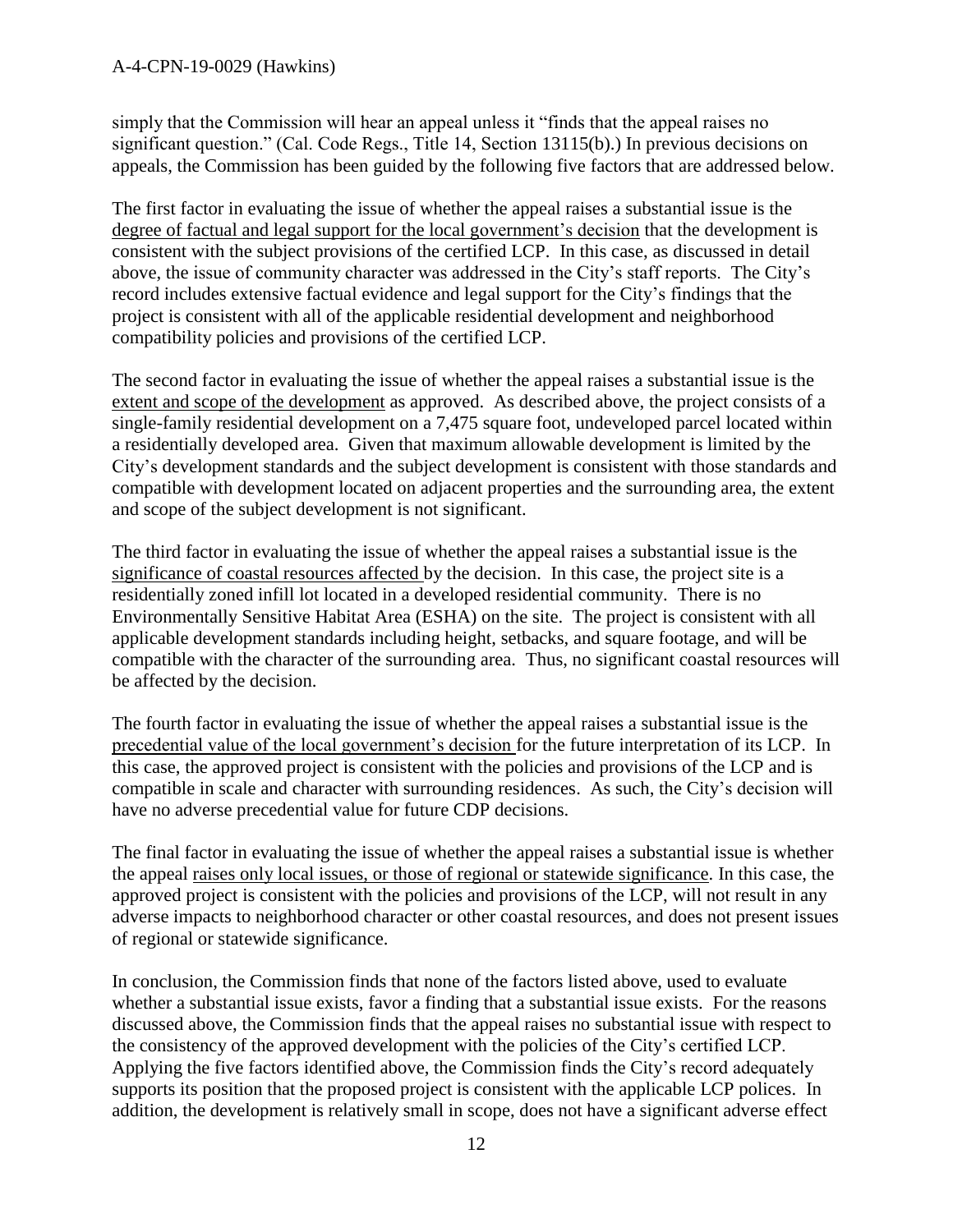simply that the Commission will hear an appeal unless it "finds that the appeal raises no significant question." (Cal. Code Regs., Title 14, Section 13115(b).) In previous decisions on appeals, the Commission has been guided by the following five factors that are addressed below.

The first factor in evaluating the issue of whether the appeal raises a substantial issue is the degree of factual and legal support for the local government's decision that the development is consistent with the subject provisions of the certified LCP. In this case, as discussed in detail above, the issue of community character was addressed in the City's staff reports. The City's record includes extensive factual evidence and legal support for the City's findings that the project is consistent with all of the applicable residential development and neighborhood compatibility policies and provisions of the certified LCP.

The second factor in evaluating the issue of whether the appeal raises a substantial issue is the extent and scope of the development as approved. As described above, the project consists of a single-family residential development on a 7,475 square foot, undeveloped parcel located within a residentially developed area. Given that maximum allowable development is limited by the City's development standards and the subject development is consistent with those standards and compatible with development located on adjacent properties and the surrounding area, the extent and scope of the subject development is not significant.

The third factor in evaluating the issue of whether the appeal raises a substantial issue is the significance of coastal resources affected by the decision. In this case, the project site is a residentially zoned infill lot located in a developed residential community. There is no Environmentally Sensitive Habitat Area (ESHA) on the site. The project is consistent with all applicable development standards including height, setbacks, and square footage, and will be compatible with the character of the surrounding area. Thus, no significant coastal resources will be affected by the decision.

The fourth factor in evaluating the issue of whether the appeal raises a substantial issue is the precedential value of the local government's decision for the future interpretation of its LCP. In this case, the approved project is consistent with the policies and provisions of the LCP and is compatible in scale and character with surrounding residences. As such, the City's decision will have no adverse precedential value for future CDP decisions.

The final factor in evaluating the issue of whether the appeal raises a substantial issue is whether the appeal raises only local issues, or those of regional or statewide significance. In this case, the approved project is consistent with the policies and provisions of the LCP, will not result in any adverse impacts to neighborhood character or other coastal resources, and does not present issues of regional or statewide significance.

In conclusion, the Commission finds that none of the factors listed above, used to evaluate whether a substantial issue exists, favor a finding that a substantial issue exists. For the reasons discussed above, the Commission finds that the appeal raises no substantial issue with respect to the consistency of the approved development with the policies of the City's certified LCP. Applying the five factors identified above, the Commission finds the City's record adequately supports its position that the proposed project is consistent with the applicable LCP polices. In addition, the development is relatively small in scope, does not have a significant adverse effect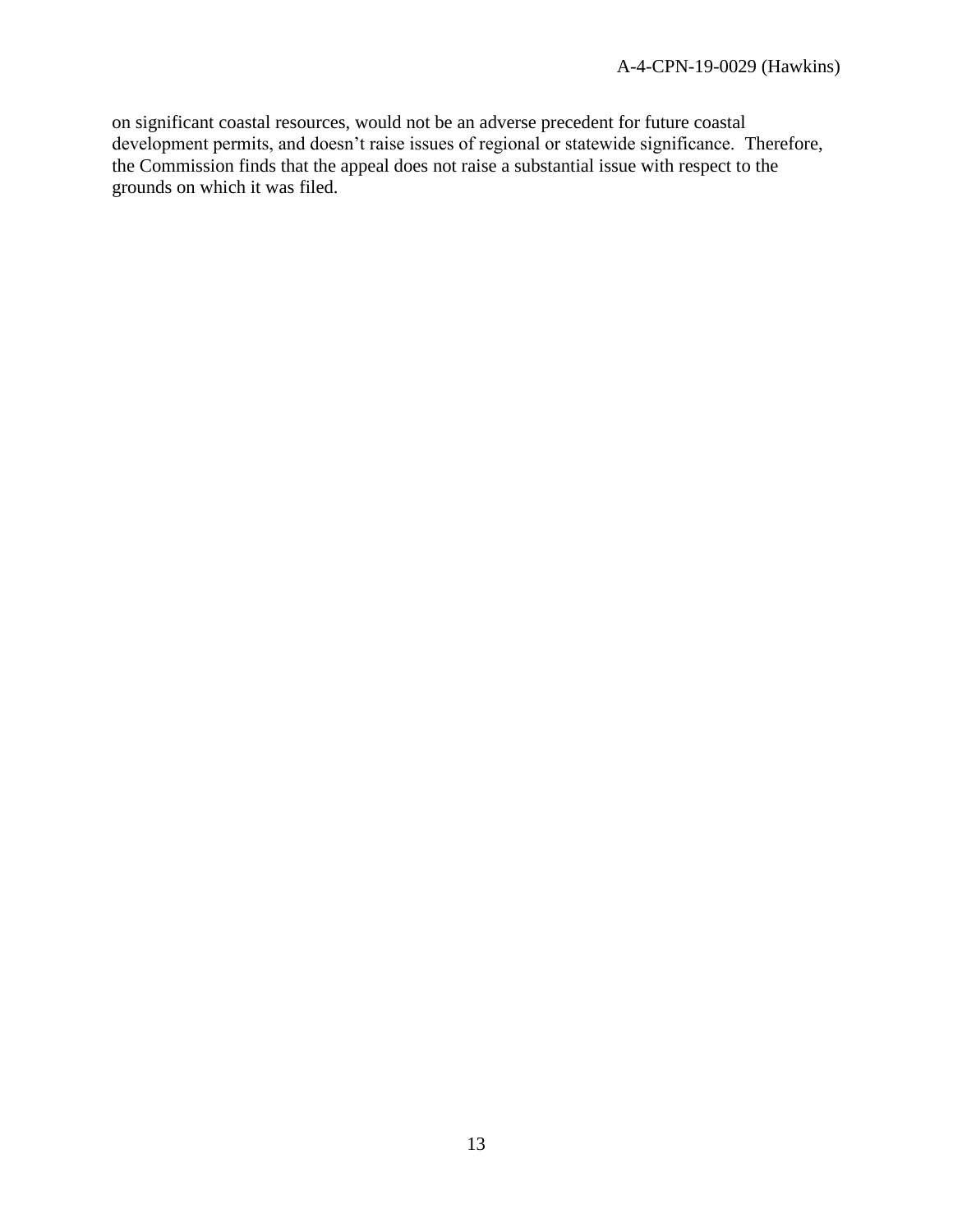on significant coastal resources, would not be an adverse precedent for future coastal development permits, and doesn't raise issues of regional or statewide significance. Therefore, the Commission finds that the appeal does not raise a substantial issue with respect to the grounds on which it was filed.